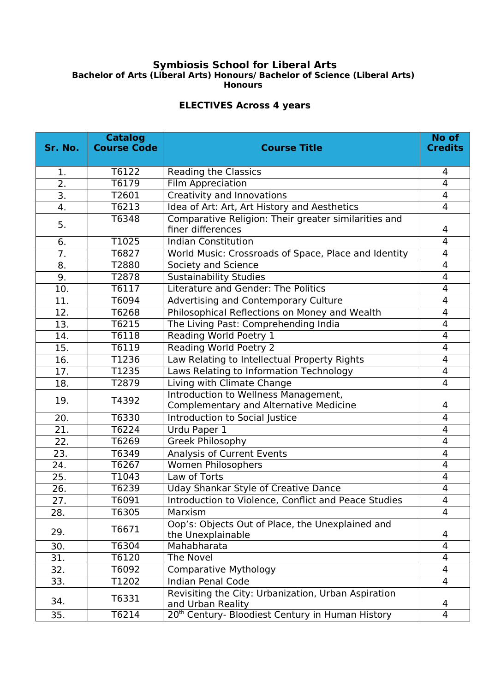## **Symbiosis School for Liberal Arts Bachelor of Arts (Liberal Arts) Honours/ Bachelor of Science (Liberal Arts) Honours**

## **ELECTIVES Across 4 years**

| Sr. No. | <b>Catalog</b><br><b>Course Code</b> | <b>Course Title</b>                                                                   | No of<br><b>Credits</b> |
|---------|--------------------------------------|---------------------------------------------------------------------------------------|-------------------------|
| 1.      | T6122                                | <b>Reading the Classics</b>                                                           | 4                       |
| 2.      | T6179                                | Film Appreciation                                                                     | $\overline{4}$          |
| 3.      | T2601                                | Creativity and Innovations                                                            | 4                       |
| 4.      | T6213                                | Idea of Art: Art, Art History and Aesthetics                                          | 4                       |
| 5.      | T6348                                | Comparative Religion: Their greater similarities and<br>finer differences             | 4                       |
| 6.      | T1025                                | <b>Indian Constitution</b>                                                            | 4                       |
| 7.      | T6827                                | World Music: Crossroads of Space, Place and Identity                                  | $\overline{4}$          |
| 8.      | T2880                                | Society and Science                                                                   | 4                       |
| 9.      | T2878                                | <b>Sustainability Studies</b>                                                         | 4                       |
| 10.     | T6117                                | Literature and Gender: The Politics                                                   | 4                       |
| 11.     | T6094                                | Advertising and Contemporary Culture                                                  | 4                       |
| 12.     | T6268                                | Philosophical Reflections on Money and Wealth                                         | 4                       |
| 13.     | T6215                                | The Living Past: Comprehending India                                                  | 4                       |
| 14.     | T6118                                | Reading World Poetry 1                                                                | 4                       |
| 15.     | T6119                                | <b>Reading World Poetry 2</b>                                                         | 4                       |
| 16.     | T1236                                | Law Relating to Intellectual Property Rights                                          | $\overline{4}$          |
| 17.     | T1235                                | Laws Relating to Information Technology                                               | 4                       |
| 18.     | T2879                                | Living with Climate Change                                                            | $\overline{4}$          |
| 19.     | T4392                                | Introduction to Wellness Management,<br><b>Complementary and Alternative Medicine</b> | 4                       |
| 20.     | T6330                                | <b>Introduction to Social Justice</b>                                                 | 4                       |
| 21.     | T6224                                | Urdu Paper 1                                                                          | 4                       |
| 22.     | T6269                                | Greek Philosophy                                                                      | 4                       |
| 23.     | T6349                                | <b>Analysis of Current Events</b>                                                     | 4                       |
| 24.     | T6267                                | Women Philosophers                                                                    | 4                       |
| 25.     | T1043                                | Law of Torts                                                                          | 4                       |
| 26.     | T6239                                | <b>Uday Shankar Style of Creative Dance</b>                                           | 4                       |
| 27.     | T6091                                | Introduction to Violence, Conflict and Peace Studies                                  | $\overline{\mathbf{4}}$ |
| 28.     | T6305                                | Marxism                                                                               | $\overline{4}$          |
| 29.     | T6671                                | Oop's: Objects Out of Place, the Unexplained and<br>the Unexplainable                 | 4                       |
| 30.     | T6304                                | Mahabharata                                                                           | 4                       |
| 31.     | T6120                                | The Novel                                                                             | 4                       |
| 32.     | T6092                                | <b>Comparative Mythology</b>                                                          | 4                       |
| 33.     | T1202                                | <b>Indian Penal Code</b>                                                              | $\overline{4}$          |
| 34.     | T6331                                | Revisiting the City: Urbanization, Urban Aspiration<br>and Urban Reality              | 4                       |
| 35.     | T6214                                | 20 <sup>th</sup> Century- Bloodiest Century in Human History                          | 4                       |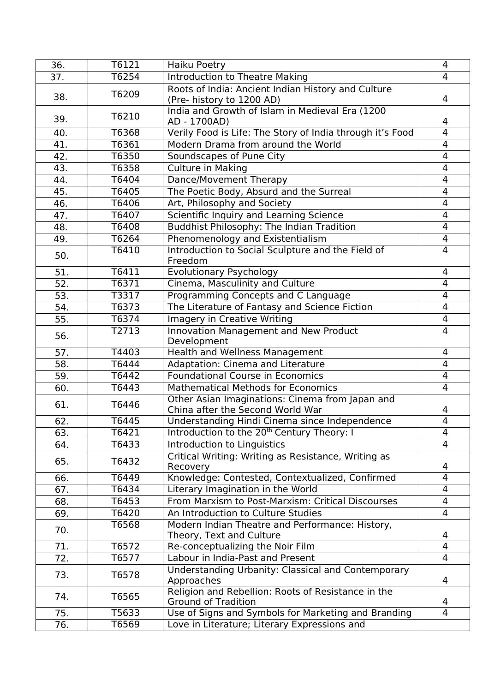| 36. | T6121 | <b>Haiku Poetry</b>                                                                 | 4                        |
|-----|-------|-------------------------------------------------------------------------------------|--------------------------|
| 37. | T6254 | <b>Introduction to Theatre Making</b>                                               | $\overline{4}$           |
| 38. | T6209 | Roots of India: Ancient Indian History and Culture<br>(Pre- history to 1200 AD)     | 4                        |
| 39. | T6210 | India and Growth of Islam in Medieval Era (1200<br>AD - 1700AD)                     | 4                        |
| 40. | T6368 | Verily Food is Life: The Story of India through it's Food                           | $\overline{4}$           |
| 41. | T6361 | Modern Drama from around the World                                                  | $\overline{4}$           |
| 42. | T6350 | Soundscapes of Pune City                                                            | 4                        |
| 43. | T6358 | <b>Culture in Making</b>                                                            | $\overline{4}$           |
| 44. | T6404 | Dance/Movement Therapy                                                              | $\overline{4}$           |
| 45. | T6405 | The Poetic Body, Absurd and the Surreal                                             | $\overline{4}$           |
| 46. | T6406 | Art, Philosophy and Society                                                         | 4                        |
| 47. | T6407 | Scientific Inquiry and Learning Science                                             | 4                        |
| 48. | T6408 | <b>Buddhist Philosophy: The Indian Tradition</b>                                    | $\overline{4}$           |
| 49. | T6264 | Phenomenology and Existentialism                                                    | 4                        |
| 50. | T6410 | Introduction to Social Sculpture and the Field of<br>Freedom                        | $\overline{4}$           |
| 51. | T6411 | <b>Evolutionary Psychology</b>                                                      | 4                        |
| 52. | T6371 | Cinema, Masculinity and Culture                                                     | $\overline{4}$           |
| 53. | T3317 | Programming Concepts and C Language                                                 | $\overline{4}$           |
| 54. | T6373 | The Literature of Fantasy and Science Fiction                                       | 4                        |
| 55. | T6374 | <b>Imagery in Creative Writing</b>                                                  | $\overline{\mathcal{A}}$ |
| 56. | T2713 | Innovation Management and New Product<br>Development                                | $\overline{4}$           |
| 57. | T4403 | Health and Wellness Management                                                      | 4                        |
| 58. | T6444 | Adaptation: Cinema and Literature                                                   | $\overline{4}$           |
| 59. | T6442 | <b>Foundational Course in Economics</b>                                             | 4                        |
| 60. | T6443 | <b>Mathematical Methods for Economics</b>                                           | 4                        |
| 61. | T6446 | Other Asian Imaginations: Cinema from Japan and<br>China after the Second World War | 4                        |
| 62. | T6445 | Understanding Hindi Cinema since Independence                                       | $\overline{4}$           |
| 63. | T6421 | Introduction to the 20 <sup>th</sup> Century Theory: I                              | 4                        |
| 64. | T6433 | Introduction to Linguistics                                                         | $\overline{4}$           |
| 65. | T6432 | Critical Writing: Writing as Resistance, Writing as<br>Recovery                     | 4                        |
| 66. | T6449 | Knowledge: Contested, Contextualized, Confirmed                                     | $\overline{4}$           |
| 67. | T6434 | Literary Imagination in the World                                                   | 4                        |
| 68. | T6453 | From Marxism to Post-Marxism: Critical Discourses                                   | 4                        |
| 69. | T6420 | An Introduction to Culture Studies                                                  | 4                        |
| 70. | T6568 | Modern Indian Theatre and Performance: History,<br>Theory, Text and Culture         | 4                        |
| 71. | T6572 | Re-conceptualizing the Noir Film                                                    | $\overline{4}$           |
| 72. | T6577 | Labour in India-Past and Present                                                    | 4                        |
| 73. | T6578 | Understanding Urbanity: Classical and Contemporary<br>Approaches                    | 4                        |
| 74. | T6565 | Religion and Rebellion: Roots of Resistance in the<br><b>Ground of Tradition</b>    | 4                        |
| 75. | T5633 | Use of Signs and Symbols for Marketing and Branding                                 | $\overline{4}$           |
| 76. | T6569 | Love in Literature; Literary Expressions and                                        |                          |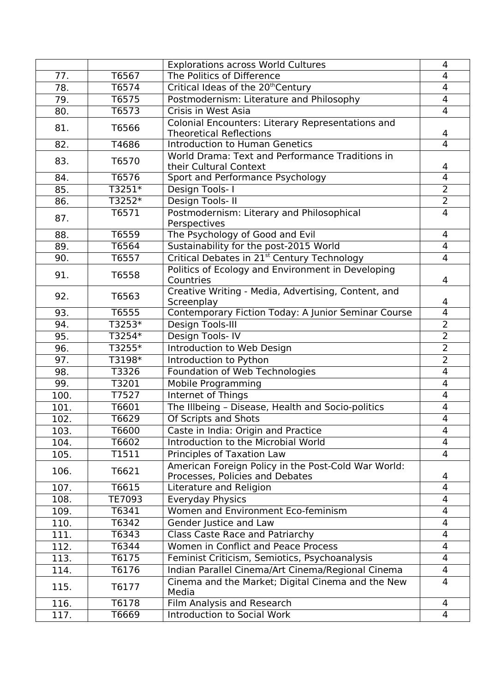|      |          | <b>Explorations across World Cultures</b>                                              | 4              |
|------|----------|----------------------------------------------------------------------------------------|----------------|
| 77.  | T6567    | The Politics of Difference                                                             | 4              |
| 78.  | T6574    | Critical Ideas of the 20 <sup>th</sup> Century                                         | 4              |
| 79.  | T6575    | Postmodernism: Literature and Philosophy                                               | 4              |
| 80.  | T6573    | Crisis in West Asia                                                                    | $\overline{4}$ |
| 81.  | T6566    | Colonial Encounters: Literary Representations and<br><b>Theoretical Reflections</b>    | 4              |
| 82.  | T4686    | <b>Introduction to Human Genetics</b>                                                  | $\overline{4}$ |
| 83.  | T6570    | World Drama: Text and Performance Traditions in<br>their Cultural Context              | 4              |
| 84.  | T6576    | Sport and Performance Psychology                                                       | $\overline{4}$ |
| 85.  | T3251*   | Design Tools- I                                                                        | $\overline{2}$ |
| 86.  | T3252*   | Design Tools-II                                                                        | $\overline{2}$ |
| 87.  | T6571    | Postmodernism: Literary and Philosophical<br>Perspectives                              | 4              |
| 88.  | T6559    | The Psychology of Good and Evil                                                        | 4              |
| 89.  | T6564    | Sustainability for the post-2015 World                                                 | $\overline{4}$ |
| 90.  | T6557    | Critical Debates in 21 <sup>st</sup> Century Technology                                | $\overline{4}$ |
| 91.  | T6558    | Politics of Ecology and Environment in Developing<br>Countries                         | 4              |
| 92.  | T6563    | Creative Writing - Media, Advertising, Content, and<br>Screenplay                      | 4              |
| 93.  | T6555    | Contemporary Fiction Today: A Junior Seminar Course                                    | $\overline{4}$ |
| 94.  | $T3253*$ | Design Tools-III                                                                       | $\overline{2}$ |
| 95.  | T3254*   | Design Tools-IV                                                                        | $\overline{2}$ |
| 96.  | T3255*   | Introduction to Web Design                                                             | $\overline{2}$ |
| 97.  | T3198*   | Introduction to Python                                                                 | $\overline{2}$ |
| 98.  | T3326    | Foundation of Web Technologies                                                         | 4              |
| 99.  | T3201    | <b>Mobile Programming</b>                                                              | 4              |
| 100. | T7527    | <b>Internet of Things</b>                                                              | 4              |
| 101. | T6601    | The Illbeing - Disease, Health and Socio-politics                                      | 4              |
| 102. | T6629    | Of Scripts and Shots                                                                   | 4              |
| 103. | T6600    | Caste in India: Origin and Practice                                                    | 4              |
| 104. | T6602    | Introduction to the Microbial World                                                    | 4              |
| 105. | T1511    | <b>Principles of Taxation Law</b>                                                      | $\overline{4}$ |
| 106. | T6621    | American Foreign Policy in the Post-Cold War World:<br>Processes, Policies and Debates | 4              |
| 107. | T6615    | Literature and Religion                                                                | $\overline{4}$ |
| 108. | TE7093   | Everyday Physics                                                                       | 4              |
| 109. | T6341    | Women and Environment Eco-feminism                                                     | 4              |
| 110. | T6342    | Gender Justice and Law                                                                 | 4              |
| 111. | T6343    | <b>Class Caste Race and Patriarchy</b>                                                 | 4              |
| 112. | T6344    | Women in Conflict and Peace Process                                                    | 4              |
| 113. | T6175    | Feminist Criticism, Semiotics, Psychoanalysis                                          | 4              |
| 114. | T6176    | Indian Parallel Cinema/Art Cinema/Regional Cinema                                      | $\overline{4}$ |
| 115. | T6177    | Cinema and the Market; Digital Cinema and the New<br>Media                             | 4              |
| 116. | T6178    | Film Analysis and Research                                                             | 4              |
| 117. | T6669    | <b>Introduction to Social Work</b>                                                     | 4              |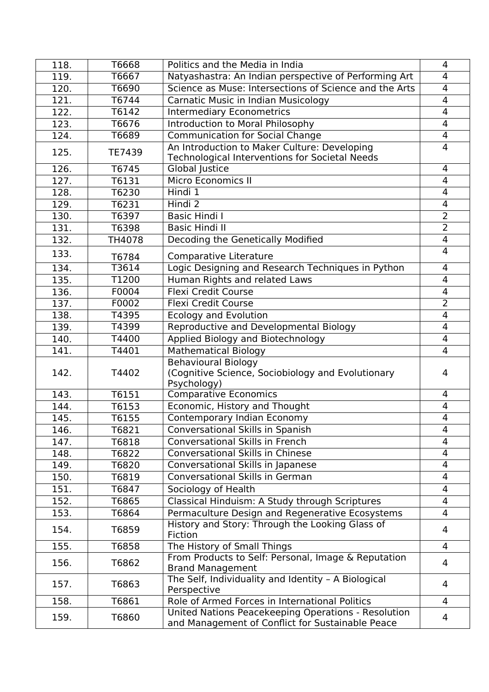| T6667<br>Natyashastra: An Indian perspective of Performing Art<br>119.<br>4<br>Science as Muse: Intersections of Science and the Arts<br>$\overline{4}$<br>T6690<br>120.<br>T6744<br><b>Carnatic Music in Indian Musicology</b><br>4<br>121.<br>T6142<br><b>Intermediary Econometrics</b><br>122.<br>4<br>Introduction to Moral Philosophy<br>T6676<br>4<br>123.<br><b>Communication for Social Change</b><br>T6689<br>4<br>124.<br>An Introduction to Maker Culture: Developing<br>4<br>125.<br><b>TE7439</b><br><b>Technological Interventions for Societal Needs</b><br>126.<br>T6745<br>Global Justice<br>4<br><b>Micro Economics II</b><br>T6131<br>127.<br>4<br>Hindi 1<br>4<br>128.<br>T6230<br>Hindi 2<br>129.<br>T6231<br>4<br>$\overline{2}$<br><b>Basic Hindi I</b><br>130.<br>T6397<br>$\overline{2}$<br><b>Basic Hindi II</b><br>T6398<br>131.<br>Decoding the Genetically Modified<br>132.<br>TH4078<br>4<br>4<br>133.<br>Comparative Literature<br>T6784<br>Logic Designing and Research Techniques in Python<br>T3614<br>4<br>134.<br>T1200<br>Human Rights and related Laws<br>135.<br>4<br><b>Flexi Credit Course</b><br>F0004<br>136.<br>4<br>$\overline{2}$<br>F0002<br><b>Flexi Credit Course</b><br>137.<br><b>Ecology and Evolution</b><br>T4395<br>4<br>138.<br>Reproductive and Developmental Biology<br>T4399<br>4<br>139.<br>Applied Biology and Biotechnology<br>T4400<br>140.<br>4<br><b>Mathematical Biology</b><br>T4401<br>4<br>141.<br><b>Behavioural Biology</b><br>142.<br>(Cognitive Science, Sociobiology and Evolutionary<br>T4402<br>4<br>Psychology)<br><b>Comparative Economics</b><br>143.<br>T6151<br>4<br>Economic, History and Thought<br>4<br>144.<br>T6153<br>Contemporary Indian Economy<br>4<br>145.<br>T6155<br><b>Conversational Skills in Spanish</b><br>146.<br>T6821<br>4<br><b>Conversational Skills in French</b><br>$\overline{4}$<br>T6818<br>147.<br><b>Conversational Skills in Chinese</b><br>4<br>148.<br>T6822<br>Conversational Skills in Japanese<br>149.<br>T6820<br>4<br><b>Conversational Skills in German</b><br>4<br>150.<br>T6819<br>151.<br>Sociology of Health<br>T6847<br>4<br>152.<br>T6865<br>Classical Hinduism: A Study through Scriptures<br>4<br>Permaculture Design and Regenerative Ecosystems<br>T6864<br>4<br>153.<br>History and Story: Through the Looking Glass of<br>154.<br>T6859<br>4<br>Fiction<br>155.<br>The History of Small Things<br>T6858<br>4<br>From Products to Self: Personal, Image & Reputation<br>156.<br>T6862<br>4<br><b>Brand Management</b><br>The Self, Individuality and Identity - A Biological<br>157.<br>T6863<br>4<br>Perspective<br>Role of Armed Forces in International Politics<br>T6861<br>158.<br>4<br>United Nations Peacekeeping Operations - Resolution<br>159.<br>T6860<br>4<br>and Management of Conflict for Sustainable Peace | 118. | T6668 | Politics and the Media in India | 4 |
|--------------------------------------------------------------------------------------------------------------------------------------------------------------------------------------------------------------------------------------------------------------------------------------------------------------------------------------------------------------------------------------------------------------------------------------------------------------------------------------------------------------------------------------------------------------------------------------------------------------------------------------------------------------------------------------------------------------------------------------------------------------------------------------------------------------------------------------------------------------------------------------------------------------------------------------------------------------------------------------------------------------------------------------------------------------------------------------------------------------------------------------------------------------------------------------------------------------------------------------------------------------------------------------------------------------------------------------------------------------------------------------------------------------------------------------------------------------------------------------------------------------------------------------------------------------------------------------------------------------------------------------------------------------------------------------------------------------------------------------------------------------------------------------------------------------------------------------------------------------------------------------------------------------------------------------------------------------------------------------------------------------------------------------------------------------------------------------------------------------------------------------------------------------------------------------------------------------------------------------------------------------------------------------------------------------------------------------------------------------------------------------------------------------------------------------------------------------------------------------------------------------------------------------------------------------------------------------------------------------------------------------------------------------------------------------------------------------------------------------------------------------------------------------------------------------------------------------------------------------|------|-------|---------------------------------|---|
|                                                                                                                                                                                                                                                                                                                                                                                                                                                                                                                                                                                                                                                                                                                                                                                                                                                                                                                                                                                                                                                                                                                                                                                                                                                                                                                                                                                                                                                                                                                                                                                                                                                                                                                                                                                                                                                                                                                                                                                                                                                                                                                                                                                                                                                                                                                                                                                                                                                                                                                                                                                                                                                                                                                                                                                                                                                              |      |       |                                 |   |
|                                                                                                                                                                                                                                                                                                                                                                                                                                                                                                                                                                                                                                                                                                                                                                                                                                                                                                                                                                                                                                                                                                                                                                                                                                                                                                                                                                                                                                                                                                                                                                                                                                                                                                                                                                                                                                                                                                                                                                                                                                                                                                                                                                                                                                                                                                                                                                                                                                                                                                                                                                                                                                                                                                                                                                                                                                                              |      |       |                                 |   |
|                                                                                                                                                                                                                                                                                                                                                                                                                                                                                                                                                                                                                                                                                                                                                                                                                                                                                                                                                                                                                                                                                                                                                                                                                                                                                                                                                                                                                                                                                                                                                                                                                                                                                                                                                                                                                                                                                                                                                                                                                                                                                                                                                                                                                                                                                                                                                                                                                                                                                                                                                                                                                                                                                                                                                                                                                                                              |      |       |                                 |   |
|                                                                                                                                                                                                                                                                                                                                                                                                                                                                                                                                                                                                                                                                                                                                                                                                                                                                                                                                                                                                                                                                                                                                                                                                                                                                                                                                                                                                                                                                                                                                                                                                                                                                                                                                                                                                                                                                                                                                                                                                                                                                                                                                                                                                                                                                                                                                                                                                                                                                                                                                                                                                                                                                                                                                                                                                                                                              |      |       |                                 |   |
|                                                                                                                                                                                                                                                                                                                                                                                                                                                                                                                                                                                                                                                                                                                                                                                                                                                                                                                                                                                                                                                                                                                                                                                                                                                                                                                                                                                                                                                                                                                                                                                                                                                                                                                                                                                                                                                                                                                                                                                                                                                                                                                                                                                                                                                                                                                                                                                                                                                                                                                                                                                                                                                                                                                                                                                                                                                              |      |       |                                 |   |
|                                                                                                                                                                                                                                                                                                                                                                                                                                                                                                                                                                                                                                                                                                                                                                                                                                                                                                                                                                                                                                                                                                                                                                                                                                                                                                                                                                                                                                                                                                                                                                                                                                                                                                                                                                                                                                                                                                                                                                                                                                                                                                                                                                                                                                                                                                                                                                                                                                                                                                                                                                                                                                                                                                                                                                                                                                                              |      |       |                                 |   |
|                                                                                                                                                                                                                                                                                                                                                                                                                                                                                                                                                                                                                                                                                                                                                                                                                                                                                                                                                                                                                                                                                                                                                                                                                                                                                                                                                                                                                                                                                                                                                                                                                                                                                                                                                                                                                                                                                                                                                                                                                                                                                                                                                                                                                                                                                                                                                                                                                                                                                                                                                                                                                                                                                                                                                                                                                                                              |      |       |                                 |   |
|                                                                                                                                                                                                                                                                                                                                                                                                                                                                                                                                                                                                                                                                                                                                                                                                                                                                                                                                                                                                                                                                                                                                                                                                                                                                                                                                                                                                                                                                                                                                                                                                                                                                                                                                                                                                                                                                                                                                                                                                                                                                                                                                                                                                                                                                                                                                                                                                                                                                                                                                                                                                                                                                                                                                                                                                                                                              |      |       |                                 |   |
|                                                                                                                                                                                                                                                                                                                                                                                                                                                                                                                                                                                                                                                                                                                                                                                                                                                                                                                                                                                                                                                                                                                                                                                                                                                                                                                                                                                                                                                                                                                                                                                                                                                                                                                                                                                                                                                                                                                                                                                                                                                                                                                                                                                                                                                                                                                                                                                                                                                                                                                                                                                                                                                                                                                                                                                                                                                              |      |       |                                 |   |
|                                                                                                                                                                                                                                                                                                                                                                                                                                                                                                                                                                                                                                                                                                                                                                                                                                                                                                                                                                                                                                                                                                                                                                                                                                                                                                                                                                                                                                                                                                                                                                                                                                                                                                                                                                                                                                                                                                                                                                                                                                                                                                                                                                                                                                                                                                                                                                                                                                                                                                                                                                                                                                                                                                                                                                                                                                                              |      |       |                                 |   |
|                                                                                                                                                                                                                                                                                                                                                                                                                                                                                                                                                                                                                                                                                                                                                                                                                                                                                                                                                                                                                                                                                                                                                                                                                                                                                                                                                                                                                                                                                                                                                                                                                                                                                                                                                                                                                                                                                                                                                                                                                                                                                                                                                                                                                                                                                                                                                                                                                                                                                                                                                                                                                                                                                                                                                                                                                                                              |      |       |                                 |   |
|                                                                                                                                                                                                                                                                                                                                                                                                                                                                                                                                                                                                                                                                                                                                                                                                                                                                                                                                                                                                                                                                                                                                                                                                                                                                                                                                                                                                                                                                                                                                                                                                                                                                                                                                                                                                                                                                                                                                                                                                                                                                                                                                                                                                                                                                                                                                                                                                                                                                                                                                                                                                                                                                                                                                                                                                                                                              |      |       |                                 |   |
|                                                                                                                                                                                                                                                                                                                                                                                                                                                                                                                                                                                                                                                                                                                                                                                                                                                                                                                                                                                                                                                                                                                                                                                                                                                                                                                                                                                                                                                                                                                                                                                                                                                                                                                                                                                                                                                                                                                                                                                                                                                                                                                                                                                                                                                                                                                                                                                                                                                                                                                                                                                                                                                                                                                                                                                                                                                              |      |       |                                 |   |
|                                                                                                                                                                                                                                                                                                                                                                                                                                                                                                                                                                                                                                                                                                                                                                                                                                                                                                                                                                                                                                                                                                                                                                                                                                                                                                                                                                                                                                                                                                                                                                                                                                                                                                                                                                                                                                                                                                                                                                                                                                                                                                                                                                                                                                                                                                                                                                                                                                                                                                                                                                                                                                                                                                                                                                                                                                                              |      |       |                                 |   |
|                                                                                                                                                                                                                                                                                                                                                                                                                                                                                                                                                                                                                                                                                                                                                                                                                                                                                                                                                                                                                                                                                                                                                                                                                                                                                                                                                                                                                                                                                                                                                                                                                                                                                                                                                                                                                                                                                                                                                                                                                                                                                                                                                                                                                                                                                                                                                                                                                                                                                                                                                                                                                                                                                                                                                                                                                                                              |      |       |                                 |   |
|                                                                                                                                                                                                                                                                                                                                                                                                                                                                                                                                                                                                                                                                                                                                                                                                                                                                                                                                                                                                                                                                                                                                                                                                                                                                                                                                                                                                                                                                                                                                                                                                                                                                                                                                                                                                                                                                                                                                                                                                                                                                                                                                                                                                                                                                                                                                                                                                                                                                                                                                                                                                                                                                                                                                                                                                                                                              |      |       |                                 |   |
|                                                                                                                                                                                                                                                                                                                                                                                                                                                                                                                                                                                                                                                                                                                                                                                                                                                                                                                                                                                                                                                                                                                                                                                                                                                                                                                                                                                                                                                                                                                                                                                                                                                                                                                                                                                                                                                                                                                                                                                                                                                                                                                                                                                                                                                                                                                                                                                                                                                                                                                                                                                                                                                                                                                                                                                                                                                              |      |       |                                 |   |
|                                                                                                                                                                                                                                                                                                                                                                                                                                                                                                                                                                                                                                                                                                                                                                                                                                                                                                                                                                                                                                                                                                                                                                                                                                                                                                                                                                                                                                                                                                                                                                                                                                                                                                                                                                                                                                                                                                                                                                                                                                                                                                                                                                                                                                                                                                                                                                                                                                                                                                                                                                                                                                                                                                                                                                                                                                                              |      |       |                                 |   |
|                                                                                                                                                                                                                                                                                                                                                                                                                                                                                                                                                                                                                                                                                                                                                                                                                                                                                                                                                                                                                                                                                                                                                                                                                                                                                                                                                                                                                                                                                                                                                                                                                                                                                                                                                                                                                                                                                                                                                                                                                                                                                                                                                                                                                                                                                                                                                                                                                                                                                                                                                                                                                                                                                                                                                                                                                                                              |      |       |                                 |   |
|                                                                                                                                                                                                                                                                                                                                                                                                                                                                                                                                                                                                                                                                                                                                                                                                                                                                                                                                                                                                                                                                                                                                                                                                                                                                                                                                                                                                                                                                                                                                                                                                                                                                                                                                                                                                                                                                                                                                                                                                                                                                                                                                                                                                                                                                                                                                                                                                                                                                                                                                                                                                                                                                                                                                                                                                                                                              |      |       |                                 |   |
|                                                                                                                                                                                                                                                                                                                                                                                                                                                                                                                                                                                                                                                                                                                                                                                                                                                                                                                                                                                                                                                                                                                                                                                                                                                                                                                                                                                                                                                                                                                                                                                                                                                                                                                                                                                                                                                                                                                                                                                                                                                                                                                                                                                                                                                                                                                                                                                                                                                                                                                                                                                                                                                                                                                                                                                                                                                              |      |       |                                 |   |
|                                                                                                                                                                                                                                                                                                                                                                                                                                                                                                                                                                                                                                                                                                                                                                                                                                                                                                                                                                                                                                                                                                                                                                                                                                                                                                                                                                                                                                                                                                                                                                                                                                                                                                                                                                                                                                                                                                                                                                                                                                                                                                                                                                                                                                                                                                                                                                                                                                                                                                                                                                                                                                                                                                                                                                                                                                                              |      |       |                                 |   |
|                                                                                                                                                                                                                                                                                                                                                                                                                                                                                                                                                                                                                                                                                                                                                                                                                                                                                                                                                                                                                                                                                                                                                                                                                                                                                                                                                                                                                                                                                                                                                                                                                                                                                                                                                                                                                                                                                                                                                                                                                                                                                                                                                                                                                                                                                                                                                                                                                                                                                                                                                                                                                                                                                                                                                                                                                                                              |      |       |                                 |   |
|                                                                                                                                                                                                                                                                                                                                                                                                                                                                                                                                                                                                                                                                                                                                                                                                                                                                                                                                                                                                                                                                                                                                                                                                                                                                                                                                                                                                                                                                                                                                                                                                                                                                                                                                                                                                                                                                                                                                                                                                                                                                                                                                                                                                                                                                                                                                                                                                                                                                                                                                                                                                                                                                                                                                                                                                                                                              |      |       |                                 |   |
|                                                                                                                                                                                                                                                                                                                                                                                                                                                                                                                                                                                                                                                                                                                                                                                                                                                                                                                                                                                                                                                                                                                                                                                                                                                                                                                                                                                                                                                                                                                                                                                                                                                                                                                                                                                                                                                                                                                                                                                                                                                                                                                                                                                                                                                                                                                                                                                                                                                                                                                                                                                                                                                                                                                                                                                                                                                              |      |       |                                 |   |
|                                                                                                                                                                                                                                                                                                                                                                                                                                                                                                                                                                                                                                                                                                                                                                                                                                                                                                                                                                                                                                                                                                                                                                                                                                                                                                                                                                                                                                                                                                                                                                                                                                                                                                                                                                                                                                                                                                                                                                                                                                                                                                                                                                                                                                                                                                                                                                                                                                                                                                                                                                                                                                                                                                                                                                                                                                                              |      |       |                                 |   |
|                                                                                                                                                                                                                                                                                                                                                                                                                                                                                                                                                                                                                                                                                                                                                                                                                                                                                                                                                                                                                                                                                                                                                                                                                                                                                                                                                                                                                                                                                                                                                                                                                                                                                                                                                                                                                                                                                                                                                                                                                                                                                                                                                                                                                                                                                                                                                                                                                                                                                                                                                                                                                                                                                                                                                                                                                                                              |      |       |                                 |   |
|                                                                                                                                                                                                                                                                                                                                                                                                                                                                                                                                                                                                                                                                                                                                                                                                                                                                                                                                                                                                                                                                                                                                                                                                                                                                                                                                                                                                                                                                                                                                                                                                                                                                                                                                                                                                                                                                                                                                                                                                                                                                                                                                                                                                                                                                                                                                                                                                                                                                                                                                                                                                                                                                                                                                                                                                                                                              |      |       |                                 |   |
|                                                                                                                                                                                                                                                                                                                                                                                                                                                                                                                                                                                                                                                                                                                                                                                                                                                                                                                                                                                                                                                                                                                                                                                                                                                                                                                                                                                                                                                                                                                                                                                                                                                                                                                                                                                                                                                                                                                                                                                                                                                                                                                                                                                                                                                                                                                                                                                                                                                                                                                                                                                                                                                                                                                                                                                                                                                              |      |       |                                 |   |
|                                                                                                                                                                                                                                                                                                                                                                                                                                                                                                                                                                                                                                                                                                                                                                                                                                                                                                                                                                                                                                                                                                                                                                                                                                                                                                                                                                                                                                                                                                                                                                                                                                                                                                                                                                                                                                                                                                                                                                                                                                                                                                                                                                                                                                                                                                                                                                                                                                                                                                                                                                                                                                                                                                                                                                                                                                                              |      |       |                                 |   |
|                                                                                                                                                                                                                                                                                                                                                                                                                                                                                                                                                                                                                                                                                                                                                                                                                                                                                                                                                                                                                                                                                                                                                                                                                                                                                                                                                                                                                                                                                                                                                                                                                                                                                                                                                                                                                                                                                                                                                                                                                                                                                                                                                                                                                                                                                                                                                                                                                                                                                                                                                                                                                                                                                                                                                                                                                                                              |      |       |                                 |   |
|                                                                                                                                                                                                                                                                                                                                                                                                                                                                                                                                                                                                                                                                                                                                                                                                                                                                                                                                                                                                                                                                                                                                                                                                                                                                                                                                                                                                                                                                                                                                                                                                                                                                                                                                                                                                                                                                                                                                                                                                                                                                                                                                                                                                                                                                                                                                                                                                                                                                                                                                                                                                                                                                                                                                                                                                                                                              |      |       |                                 |   |
|                                                                                                                                                                                                                                                                                                                                                                                                                                                                                                                                                                                                                                                                                                                                                                                                                                                                                                                                                                                                                                                                                                                                                                                                                                                                                                                                                                                                                                                                                                                                                                                                                                                                                                                                                                                                                                                                                                                                                                                                                                                                                                                                                                                                                                                                                                                                                                                                                                                                                                                                                                                                                                                                                                                                                                                                                                                              |      |       |                                 |   |
|                                                                                                                                                                                                                                                                                                                                                                                                                                                                                                                                                                                                                                                                                                                                                                                                                                                                                                                                                                                                                                                                                                                                                                                                                                                                                                                                                                                                                                                                                                                                                                                                                                                                                                                                                                                                                                                                                                                                                                                                                                                                                                                                                                                                                                                                                                                                                                                                                                                                                                                                                                                                                                                                                                                                                                                                                                                              |      |       |                                 |   |
|                                                                                                                                                                                                                                                                                                                                                                                                                                                                                                                                                                                                                                                                                                                                                                                                                                                                                                                                                                                                                                                                                                                                                                                                                                                                                                                                                                                                                                                                                                                                                                                                                                                                                                                                                                                                                                                                                                                                                                                                                                                                                                                                                                                                                                                                                                                                                                                                                                                                                                                                                                                                                                                                                                                                                                                                                                                              |      |       |                                 |   |
|                                                                                                                                                                                                                                                                                                                                                                                                                                                                                                                                                                                                                                                                                                                                                                                                                                                                                                                                                                                                                                                                                                                                                                                                                                                                                                                                                                                                                                                                                                                                                                                                                                                                                                                                                                                                                                                                                                                                                                                                                                                                                                                                                                                                                                                                                                                                                                                                                                                                                                                                                                                                                                                                                                                                                                                                                                                              |      |       |                                 |   |
|                                                                                                                                                                                                                                                                                                                                                                                                                                                                                                                                                                                                                                                                                                                                                                                                                                                                                                                                                                                                                                                                                                                                                                                                                                                                                                                                                                                                                                                                                                                                                                                                                                                                                                                                                                                                                                                                                                                                                                                                                                                                                                                                                                                                                                                                                                                                                                                                                                                                                                                                                                                                                                                                                                                                                                                                                                                              |      |       |                                 |   |
|                                                                                                                                                                                                                                                                                                                                                                                                                                                                                                                                                                                                                                                                                                                                                                                                                                                                                                                                                                                                                                                                                                                                                                                                                                                                                                                                                                                                                                                                                                                                                                                                                                                                                                                                                                                                                                                                                                                                                                                                                                                                                                                                                                                                                                                                                                                                                                                                                                                                                                                                                                                                                                                                                                                                                                                                                                                              |      |       |                                 |   |
|                                                                                                                                                                                                                                                                                                                                                                                                                                                                                                                                                                                                                                                                                                                                                                                                                                                                                                                                                                                                                                                                                                                                                                                                                                                                                                                                                                                                                                                                                                                                                                                                                                                                                                                                                                                                                                                                                                                                                                                                                                                                                                                                                                                                                                                                                                                                                                                                                                                                                                                                                                                                                                                                                                                                                                                                                                                              |      |       |                                 |   |
|                                                                                                                                                                                                                                                                                                                                                                                                                                                                                                                                                                                                                                                                                                                                                                                                                                                                                                                                                                                                                                                                                                                                                                                                                                                                                                                                                                                                                                                                                                                                                                                                                                                                                                                                                                                                                                                                                                                                                                                                                                                                                                                                                                                                                                                                                                                                                                                                                                                                                                                                                                                                                                                                                                                                                                                                                                                              |      |       |                                 |   |
|                                                                                                                                                                                                                                                                                                                                                                                                                                                                                                                                                                                                                                                                                                                                                                                                                                                                                                                                                                                                                                                                                                                                                                                                                                                                                                                                                                                                                                                                                                                                                                                                                                                                                                                                                                                                                                                                                                                                                                                                                                                                                                                                                                                                                                                                                                                                                                                                                                                                                                                                                                                                                                                                                                                                                                                                                                                              |      |       |                                 |   |
|                                                                                                                                                                                                                                                                                                                                                                                                                                                                                                                                                                                                                                                                                                                                                                                                                                                                                                                                                                                                                                                                                                                                                                                                                                                                                                                                                                                                                                                                                                                                                                                                                                                                                                                                                                                                                                                                                                                                                                                                                                                                                                                                                                                                                                                                                                                                                                                                                                                                                                                                                                                                                                                                                                                                                                                                                                                              |      |       |                                 |   |
|                                                                                                                                                                                                                                                                                                                                                                                                                                                                                                                                                                                                                                                                                                                                                                                                                                                                                                                                                                                                                                                                                                                                                                                                                                                                                                                                                                                                                                                                                                                                                                                                                                                                                                                                                                                                                                                                                                                                                                                                                                                                                                                                                                                                                                                                                                                                                                                                                                                                                                                                                                                                                                                                                                                                                                                                                                                              |      |       |                                 |   |
|                                                                                                                                                                                                                                                                                                                                                                                                                                                                                                                                                                                                                                                                                                                                                                                                                                                                                                                                                                                                                                                                                                                                                                                                                                                                                                                                                                                                                                                                                                                                                                                                                                                                                                                                                                                                                                                                                                                                                                                                                                                                                                                                                                                                                                                                                                                                                                                                                                                                                                                                                                                                                                                                                                                                                                                                                                                              |      |       |                                 |   |
|                                                                                                                                                                                                                                                                                                                                                                                                                                                                                                                                                                                                                                                                                                                                                                                                                                                                                                                                                                                                                                                                                                                                                                                                                                                                                                                                                                                                                                                                                                                                                                                                                                                                                                                                                                                                                                                                                                                                                                                                                                                                                                                                                                                                                                                                                                                                                                                                                                                                                                                                                                                                                                                                                                                                                                                                                                                              |      |       |                                 |   |
|                                                                                                                                                                                                                                                                                                                                                                                                                                                                                                                                                                                                                                                                                                                                                                                                                                                                                                                                                                                                                                                                                                                                                                                                                                                                                                                                                                                                                                                                                                                                                                                                                                                                                                                                                                                                                                                                                                                                                                                                                                                                                                                                                                                                                                                                                                                                                                                                                                                                                                                                                                                                                                                                                                                                                                                                                                                              |      |       |                                 |   |
|                                                                                                                                                                                                                                                                                                                                                                                                                                                                                                                                                                                                                                                                                                                                                                                                                                                                                                                                                                                                                                                                                                                                                                                                                                                                                                                                                                                                                                                                                                                                                                                                                                                                                                                                                                                                                                                                                                                                                                                                                                                                                                                                                                                                                                                                                                                                                                                                                                                                                                                                                                                                                                                                                                                                                                                                                                                              |      |       |                                 |   |